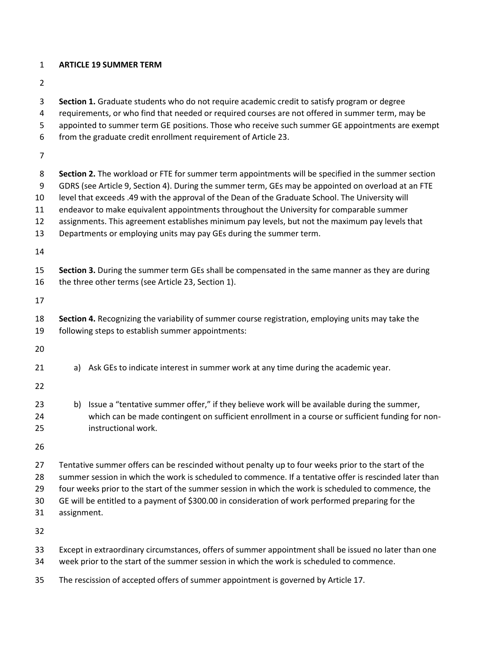## **ARTICLE 19 SUMMER TERM**

- 
- **Section 1.** Graduate students who do not require academic credit to satisfy program or degree requirements, or who find that needed or required courses are not offered in summer term, may be appointed to summer term GE positions. Those who receive such summer GE appointments are exempt from the graduate credit enrollment requirement of Article 23. **Section 2.** The workload or FTE for summer term appointments will be specified in the summer section GDRS (see Article 9, Section 4). During the summer term, GEs may be appointed on overload at an FTE level that exceeds .49 with the approval of the Dean of the Graduate School. The University will endeavor to make equivalent appointments throughout the University for comparable summer assignments. This agreement establishes minimum pay levels, but not the maximum pay levels that Departments or employing units may pay GEs during the summer term. **Section 3.** During the summer term GEs shall be compensated in the same manner as they are during the three other terms (see Article 23, Section 1). **Section 4.** Recognizing the variability of summer course registration, employing units may take the following steps to establish summer appointments: 21 a) Ask GEs to indicate interest in summer work at any time during the academic year. 23 b) Issue a "tentative summer offer," if they believe work will be available during the summer, which can be made contingent on sufficient enrollment in a course or sufficient funding for non- instructional work. Tentative summer offers can be rescinded without penalty up to four weeks prior to the start of the summer session in which the work is scheduled to commence. If a tentative offer is rescinded later than four weeks prior to the start of the summer session in which the work is scheduled to commence, the GE will be entitled to a payment of \$300.00 in consideration of work performed preparing for the assignment.
- Except in extraordinary circumstances, offers of summer appointment shall be issued no later than one week prior to the start of the summer session in which the work is scheduled to commence.
- The rescission of accepted offers of summer appointment is governed by Article 17.